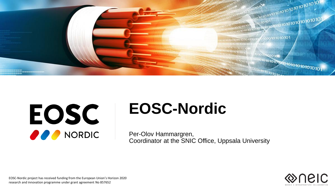

# EOSC O O NORDIC

# **EOSC-Nordic**

Per-Olov Hammargren, Coordinator at the SNIC Office, Uppsala University



EOSC-Nordic project has received funding from the European Union's Horizon 2020 research and innovation programme under grant agreement No 857652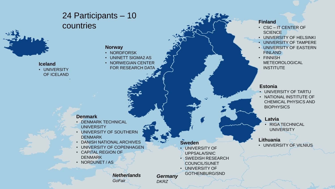### 24 Participants – 10 countries



**Iceland** • UNIVERSITY OF ICELAND

#### **Norway**

- NORDFORSK
- UNINETT SIGMA2 AS
- NORWEGIAN CENTER FOR RESEARCH DATA

#### **Denmark**

- DENMARK TECHNICAL **UNIVERSITY**
- UNIVERSITY OF SOUTHERN **DENMARK**
- DANISH NATIONAL ARCHIVES
- UNIVERSITY OF COPENHAGEN
- CAPITAL REGION OF DENMARK
- NORDUNET / AS

#### **Sweden**

- UNIVERSITY OF UPPSALA/SNIC
- SWEDISH RESEARCH COUNCIL/SUNET
- UNIVERSITY OF GOTHENBURG/SND

• FINNISH METEOROLOGICAL **INSTITUTE** 

• CSC – IT CENTER OF

• UNIVERSITY OF HELSINKI • UNIVERSITY OF TAMPERE • UNIVERSITY OF EASTERN

#### **Estonia**

**Finland**

**SCIENCE** 

FINLAND

- UNIVERSITY OF TARTU
- NATIONAL INSTITUTE OF CHEMICAL PHYSICS AND **BIOPHYSICS**

#### **Latvia**

• RIGA TECHNICAL UNIVERSITY

#### **Lithuania**

• UNIVERSITY OF VILNIUS

*Netherlands GoFair*

*Germany DKRZ*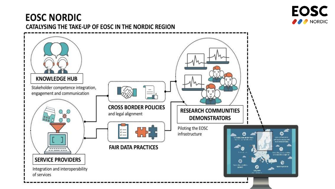

### **EOSC NORDIC** CATALYSING THE TAKE-UP OF EOSC IN THE NORDIC REGION

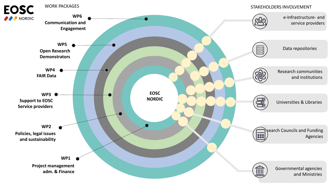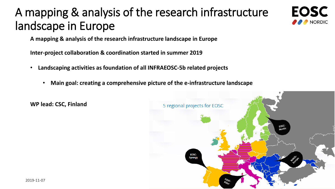## A mapping & analysis of the research infrastructure landscape in Europe



**A mapping & analysis of the research infrastructure landscape in Europe**

**Inter-project collaboration & coordination started in summer 2019**

- **Landscaping activities as foundation of all INFRAEOSC-5b related projects**
	- **Main goal: creating a comprehensive picture of the e-infrastructure landscape**



**WP lead: CSC, Finland**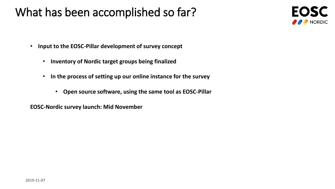### What has been accomplished so far?



- **Input to the EOSC-Pillar development of survey concept**
	- **Inventory of Nordic target groups being finalized**
	- **In the process of setting up our online instance for the survey**
		- **Open source software, using the same tool as EOSC-Pillar**

**EOSC-Nordic survey launch: Mid November**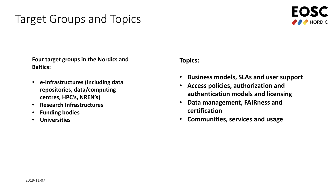### Target Groups and Topics



**Four target groups in the Nordics and Baltics:**

- **e-Infrastructures (including data repositories, data/computing centres, HPC's, NREN's)**
- **Research Infrastructures**
- **Funding bodies**
- **Universities**

**Topics:**

- **Business models, SLAs and user support**
- **Access policies, authorization and authentication models and licensing**
- **Data management, FAIRness and certification**
- **Communities, services and usage**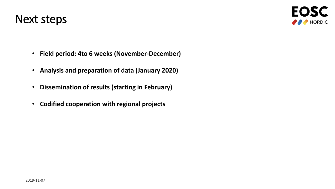

- **Field period: 4to 6 weeks (November-December)**
- **Analysis and preparation of data (January 2020)**
- **Dissemination of results (starting in February)**
- **Codified cooperation with regional projects**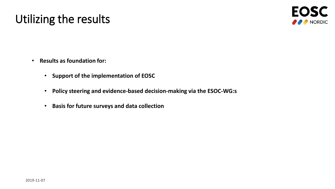## Utilizing the results



- **Results as foundation for:**
	- **Support of the implementation of EOSC**
	- **Policy steering and evidence-based decision-making via the ESOC-WG:s**
	- **Basis for future surveys and data collection**